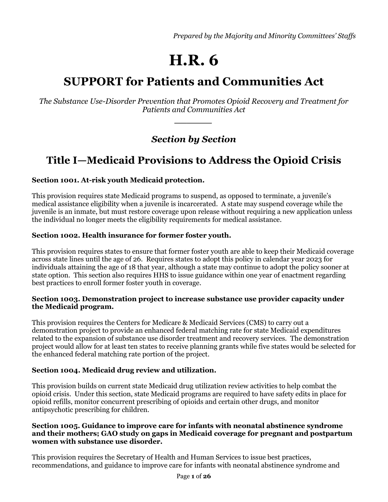*Prepared by the Majority and Minority Committees' Staffs*

# **H.R. 6**

# **SUPPORT for Patients and Communities Act**

*The Substance Use-Disorder Prevention that Promotes Opioid Recovery and Treatment for Patients and Communities Act* 

*\_\_\_\_\_\_*

*Section by Section*

# **Title I—Medicaid Provisions to Address the Opioid Crisis**

# **Section 1001. At-risk youth Medicaid protection.**

This provision requires state Medicaid programs to suspend, as opposed to terminate, a juvenile's medical assistance eligibility when a juvenile is incarcerated. A state may suspend coverage while the juvenile is an inmate, but must restore coverage upon release without requiring a new application unless the individual no longer meets the eligibility requirements for medical assistance.

# **Section 1002. Health insurance for former foster youth.**

This provision requires states to ensure that former foster youth are able to keep their Medicaid coverage across state lines until the age of 26. Requires states to adopt this policy in calendar year 2023 for individuals attaining the age of 18 that year, although a state may continue to adopt the policy sooner at state option. This section also requires HHS to issue guidance within one year of enactment regarding best practices to enroll former foster youth in coverage.

#### **Section 1003. Demonstration project to increase substance use provider capacity under the Medicaid program.**

This provision requires the Centers for Medicare & Medicaid Services (CMS) to carry out a demonstration project to provide an enhanced federal matching rate for state Medicaid expenditures related to the expansion of substance use disorder treatment and recovery services. The demonstration project would allow for at least ten states to receive planning grants while five states would be selected for the enhanced federal matching rate portion of the project.

# **Section 1004. Medicaid drug review and utilization.**

This provision builds on current state Medicaid drug utilization review activities to help combat the opioid crisis. Under this section, state Medicaid programs are required to have safety edits in place for opioid refills, monitor concurrent prescribing of opioids and certain other drugs, and monitor antipsychotic prescribing for children.

#### **Section 1005. Guidance to improve care for infants with neonatal abstinence syndrome and their mothers; GAO study on gaps in Medicaid coverage for pregnant and postpartum women with substance use disorder.**

This provision requires the Secretary of Health and Human Services to issue best practices, recommendations, and guidance to improve care for infants with neonatal abstinence syndrome and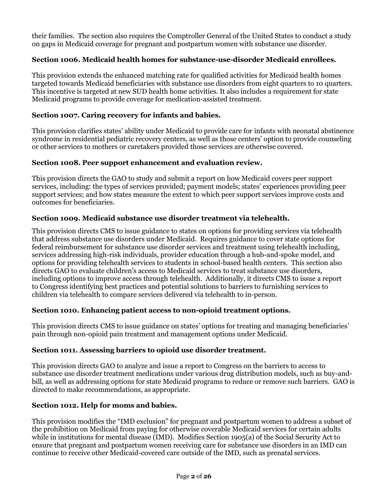their families. The section also requires the Comptroller General of the United States to conduct a study on gaps in Medicaid coverage for pregnant and postpartum women with substance use disorder.

# **Section 1006. Medicaid health homes for substance-use-disorder Medicaid enrollees.**

This provision extends the enhanced matching rate for qualified activities for Medicaid health homes targeted towards Medicaid beneficiaries with substance use disorders from eight quarters to 10 quarters. This incentive is targeted at new SUD health home activities. It also includes a requirement for state Medicaid programs to provide coverage for medication-assisted treatment.

# **Section 1007. Caring recovery for infants and babies.**

This provision clarifies states' ability under Medicaid to provide care for infants with neonatal abstinence syndrome in residential pediatric recovery centers, as well as those centers' option to provide counseling or other services to mothers or caretakers provided those services are otherwise covered.

# **Section 1008. Peer support enhancement and evaluation review.**

This provision directs the GAO to study and submit a report on how Medicaid covers peer support services, including: the types of services provided; payment models; states' experiences providing peer support services; and how states measure the extent to which peer support services improve costs and outcomes for beneficiaries.

# **Section 1009. Medicaid substance use disorder treatment via telehealth.**

This provision directs CMS to issue guidance to states on options for providing services via telehealth that address substance use disorders under Medicaid. Requires guidance to cover state options for federal reimbursement for substance use disorder services and treatment using telehealth including, services addressing high-risk individuals, provider education through a hub-and-spoke model, and options for providing telehealth services to students in school-based health centers. This section also directs GAO to evaluate children's access to Medicaid services to treat substance use disorders, including options to improve access through telehealth. Additionally, it directs CMS to issue a report to Congress identifying best practices and potential solutions to barriers to furnishing services to children via telehealth to compare services delivered via telehealth to in-person.

# **Section 1010. Enhancing patient access to non-opioid treatment options.**

This provision directs CMS to issue guidance on states' options for treating and managing beneficiaries' pain through non-opioid pain treatment and management options under Medicaid.

# **Section 1011. Assessing barriers to opioid use disorder treatment.**

This provision directs GAO to analyze and issue a report to Congress on the barriers to access to substance use disorder treatment medications under various drug distribution models, such as buy-andbill, as well as addressing options for state Medicaid programs to reduce or remove such barriers. GAO is directed to make recommendations, as appropriate.

# **Section 1012. Help for moms and babies.**

This provision modifies the "IMD exclusion" for pregnant and postpartum women to address a subset of the prohibition on Medicaid from paying for otherwise coverable Medicaid services for certain adults while in institutions for mental disease (IMD). Modifies Section 1905(a) of the Social Security Act to ensure that pregnant and postpartum women receiving care for substance use disorders in an IMD can continue to receive other Medicaid-covered care outside of the IMD, such as prenatal services.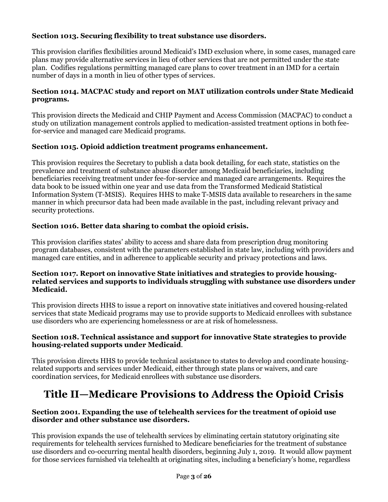# **Section 1013. Securing flexibility to treat substance use disorders.**

This provision clarifies flexibilities around Medicaid's IMD exclusion where, in some cases, managed care plans may provide alternative services in lieu of other services that are not permitted under the state plan. Codifies regulations permitting managed care plans to cover treatment in an IMD for a certain number of days in a month in lieu of other types of services.

# **Section 1014. MACPAC study and report on MAT utilization controls under State Medicaid programs.**

This provision directs the Medicaid and CHIP Payment and Access Commission (MACPAC) to conduct a study on utilization management controls applied to medication-assisted treatment options in both feefor-service and managed care Medicaid programs.

# **Section 1015. Opioid addiction treatment programs enhancement.**

This provision requires the Secretary to publish a data book detailing, for each state, statistics on the prevalence and treatment of substance abuse disorder among Medicaid beneficiaries, including beneficiaries receiving treatment under fee-for-service and managed care arrangements. Requires the data book to be issued within one year and use data from the Transformed Medicaid Statistical Information System (T-MSIS). Requires HHS to make T-MSIS data available to researchers in the same manner in which precursor data had been made available in the past, including relevant privacy and security protections.

# **Section 1016. Better data sharing to combat the opioid crisis.**

This provision clarifies states' ability to access and share data from prescription drug monitoring program databases, consistent with the parameters established in state law, including with providers and managed care entities, and in adherence to applicable security and privacy protections and laws.

#### **Section 1017. Report on innovative State initiatives and strategies to provide housingrelated services and supports to individuals struggling with substance use disorders under Medicaid.**

This provision directs HHS to issue a report on innovative state initiatives and covered housing-related services that state Medicaid programs may use to provide supports to Medicaid enrollees with substance use disorders who are experiencing homelessness or are at risk of homelessness.

#### **Section 1018. Technical assistance and support for innovative State strategies to provide housing-related supports under Medicaid**.

This provision directs HHS to provide technical assistance to states to develop and coordinate housingrelated supports and services under Medicaid, either through state plans or waivers, and care coordination services, for Medicaid enrollees with substance use disorders.

# **Title II—Medicare Provisions to Address the Opioid Crisis**

# **Section 2001. Expanding the use of telehealth services for the treatment of opioid use disorder and other substance use disorders.**

This provision expands the use of telehealth services by eliminating certain statutory originating site requirements for telehealth services furnished to Medicare beneficiaries for the treatment of substance use disorders and co-occurring mental health disorders, beginning July 1, 2019. It would allow payment for those services furnished via telehealth at originating sites, including a beneficiary's home, regardless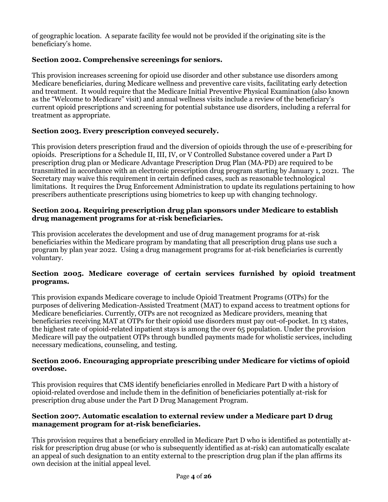of geographic location. A separate facility fee would not be provided if the originating site is the beneficiary's home.

# **Section 2002. Comprehensive screenings for seniors.**

This provision increases screening for opioid use disorder and other substance use disorders among Medicare beneficiaries, during Medicare wellness and preventive care visits, facilitating early detection and treatment. It would require that the Medicare Initial Preventive Physical Examination (also known as the "Welcome to Medicare" visit) and annual wellness visits include a review of the beneficiary's current opioid prescriptions and screening for potential substance use disorders, including a referral for treatment as appropriate.

# **Section 2003. Every prescription conveyed securely.**

This provision deters prescription fraud and the diversion of opioids through the use of e-prescribing for opioids. Prescriptions for a Schedule II, III, IV, or V Controlled Substance covered under a Part D prescription drug plan or Medicare Advantage Prescription Drug Plan (MA-PD) are required to be transmitted in accordance with an electronic prescription drug program starting by January 1, 2021. The Secretary may waive this requirement in certain defined cases, such as reasonable technological limitations. It requires the Drug Enforcement Administration to update its regulations pertaining to how prescribers authenticate prescriptions using biometrics to keep up with changing technology.

#### **Section 2004. Requiring prescription drug plan sponsors under Medicare to establish drug management programs for at-risk beneficiaries.**

This provision accelerates the development and use of drug management programs for at-risk beneficiaries within the Medicare program by mandating that all prescription drug plans use such a program by plan year 2022. Using a drug management programs for at-risk beneficiaries is currently voluntary.

#### **Section 2005. Medicare coverage of certain services furnished by opioid treatment programs.**

This provision expands Medicare coverage to include Opioid Treatment Programs (OTPs) for the purposes of delivering Medication-Assisted Treatment (MAT) to expand access to treatment options for Medicare beneficiaries. Currently, OTPs are not recognized as Medicare providers, meaning that beneficiaries receiving MAT at OTPs for their opioid use disorders must pay out-of-pocket. In 13 states, the highest rate of opioid-related inpatient stays is among the over 65 population. Under the provision Medicare will pay the outpatient OTPs through bundled payments made for wholistic services, including necessary medications, counseling, and testing.

#### **Section 2006. Encouraging appropriate prescribing under Medicare for victims of opioid overdose.**

This provision requires that CMS identify beneficiaries enrolled in Medicare Part D with a history of opioid-related overdose and include them in the definition of beneficiaries potentially at-risk for prescription drug abuse under the Part D Drug Management Program.

#### **Section 2007. Automatic escalation to external review under a Medicare part D drug management program for at-risk beneficiaries.**

This provision requires that a beneficiary enrolled in Medicare Part D who is identified as potentially atrisk for prescription drug abuse (or who is subsequently identified as at-risk) can automatically escalate an appeal of such designation to an entity external to the prescription drug plan if the plan affirms its own decision at the initial appeal level.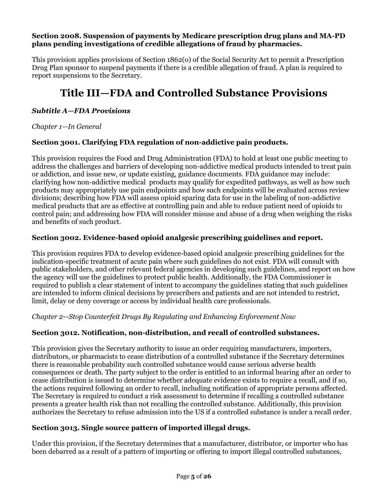#### **Section 2008. Suspension of payments by Medicare prescription drug plans and MA-PD plans pending investigations of credible allegations of fraud by pharmacies.**

This provision applies provisions of Section 1862(o) of the Social Security Act to permit a Prescription Drug Plan sponsor to suspend payments if there is a credible allegation of fraud. A plan is required to report suspensions to the Secretary.

# **Title III—FDA and Controlled Substance Provisions**

# *Subtitle A—FDA Provisions*

*Chapter 1—In General*

# **Section 3001. Clarifying FDA regulation of non-addictive pain products.**

This provision requires the Food and Drug Administration (FDA) to hold at least one public meeting to address the challenges and barriers of developing non-addictive medical products intended to treat pain or addiction, and issue new, or update existing, guidance documents. FDA guidance may include: clarifying how non-addictive medical products may qualify for expedited pathways, as well as how such products may appropriately use pain endpoints and how such endpoints will be evaluated across review divisions; describing how FDA will assess opioid sparing data for use in the labeling of non-addictive medical products that are as effective at controlling pain and able to reduce patient need of opioids to control pain; and addressing how FDA will consider misuse and abuse of a drug when weighing the risks and benefits of such product.

# **Section 3002. Evidence-based opioid analgesic prescribing guidelines and report.**

This provision requires FDA to develop evidence-based opioid analgesic prescribing guidelines for the indication-specific treatment of acute pain where such guidelines do not exist. FDA will consult with public stakeholders, and other relevant federal agencies in developing such guidelines, and report on how the agency will use the guidelines to protect public health. Additionally, the FDA Commissioner is required to publish a clear statement of intent to accompany the guidelines stating that such guidelines are intended to inform clinical decisions by prescribers and patients and are not intended to restrict, limit, delay or deny coverage or access by individual health care professionals.

*Chapter 2—Stop Counterfeit Drugs By Regulating and Enhancing Enforcement Now*

# **Section 3012. Notification, non-distribution, and recall of controlled substances.**

This provision gives the Secretary authority to issue an order requiring manufacturers, importers, distributors, or pharmacists to cease distribution of a controlled substance if the Secretary determines there is reasonable probability such controlled substance would cause serious adverse health consequences or death. The party subject to the order is entitled to an informal hearing after an order to cease distribution is issued to determine whether adequate evidence exists to require a recall, and if so, the actions required following an order to recall, including notification of appropriate persons affected. The Secretary is required to conduct a risk assessment to determine if recalling a controlled substance presents a greater health risk than not recalling the controlled substance. Additionally, this provision authorizes the Secretary to refuse admission into the US if a controlled substance is under a recall order.

#### **Section 3013. Single source pattern of imported illegal drugs.**

Under this provision, if the Secretary determines that a manufacturer, distributor, or importer who has been debarred as a result of a pattern of importing or offering to import illegal controlled substances,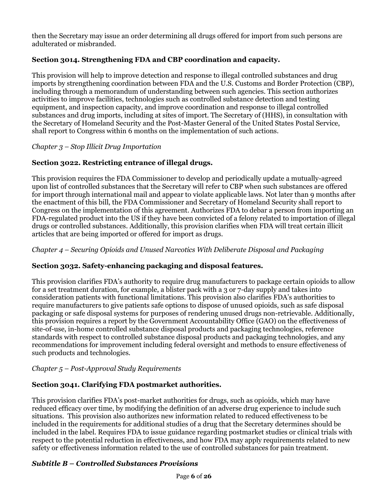then the Secretary may issue an order determining all drugs offered for import from such persons are adulterated or misbranded.

# **Section 3014. Strengthening FDA and CBP coordination and capacity.**

This provision will help to improve detection and response to illegal controlled substances and drug imports by strengthening coordination between FDA and the U.S. Customs and Border Protection (CBP), including through a memorandum of understanding between such agencies. This section authorizes activities to improve facilities, technologies such as controlled substance detection and testing equipment, and inspection capacity, and improve coordination and response to illegal controlled substances and drug imports, including at sites of import. The Secretary of (HHS), in consultation with the Secretary of Homeland Security and the Post-Master General of the United States Postal Service, shall report to Congress within 6 months on the implementation of such actions.

*Chapter 3 – Stop Illicit Drug Importation*

# **Section 3022. Restricting entrance of illegal drugs.**

This provision requires the FDA Commissioner to develop and periodically update a mutually-agreed upon list of controlled substances that the Secretary will refer to CBP when such substances are offered for import through international mail and appear to violate applicable laws. Not later than 9 months after the enactment of this bill, the FDA Commissioner and Secretary of Homeland Security shall report to Congress on the implementation of this agreement. Authorizes FDA to debar a person from importing an FDA-regulated product into the US if they have been convicted of a felony related to importation of illegal drugs or controlled substances. Additionally, this provision clarifies when FDA will treat certain illicit articles that are being imported or offered for import as drugs.

*Chapter 4 – Securing Opioids and Unused Narcotics With Deliberate Disposal and Packaging*

# **Section 3032. Safety-enhancing packaging and disposal features.**

This provision clarifies FDA's authority to require drug manufacturers to package certain opioids to allow for a set treatment duration, for example, a blister pack with a 3 or 7-day supply and takes into consideration patients with functional limitations. This provision also clarifies FDA's authorities to require manufacturers to give patients safe options to dispose of unused opioids, such as safe disposal packaging or safe disposal systems for purposes of rendering unused drugs non-retrievable. Additionally, this provision requires a report by the Government Accountability Office (GAO) on the effectiveness of site-of-use, in-home controlled substance disposal products and packaging technologies, reference standards with respect to controlled substance disposal products and packaging technologies, and any recommendations for improvement including federal oversight and methods to ensure effectiveness of such products and technologies.

# *Chapter 5 – Post-Approval Study Requirements*

# **Section 3041. Clarifying FDA postmarket authorities.**

This provision clarifies FDA's post-market authorities for drugs, such as opioids, which may have reduced efficacy over time, by modifying the definition of an adverse drug experience to include such situations. This provision also authorizes new information related to reduced effectiveness to be included in the requirements for additional studies of a drug that the Secretary determines should be included in the label. Requires FDA to issue guidance regarding postmarket studies or clinical trials with respect to the potential reduction in effectiveness, and how FDA may apply requirements related to new safety or effectiveness information related to the use of controlled substances for pain treatment.

# *Subtitle B – Controlled Substances Provisions*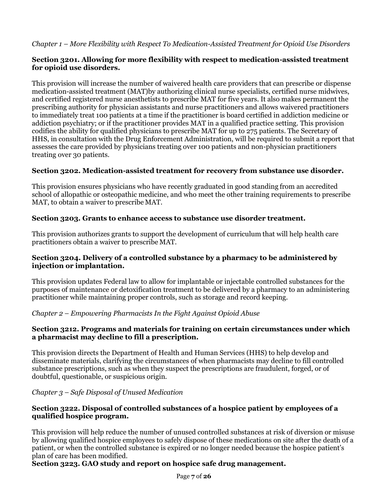# **Section 3201. Allowing for more flexibility with respect to medication-assisted treatment for opioid use disorders.**

This provision will increase the number of waivered health care providers that can prescribe or dispense medication-assisted treatment (MAT)by authorizing clinical nurse specialists, certified nurse midwives, and certified registered nurse anesthetists to prescribe MAT for five years. It also makes permanent the prescribing authority for physician assistants and nurse practitioners and allows waivered practitioners to immediately treat 100 patients at a time if the practitioner is board certified in addiction medicine or addiction psychiatry; or if the practitioner provides MAT in a qualified practice setting. This provision codifies the ability for qualified physicians to prescribe MAT for up to 275 patients. The Secretary of HHS, in consultation with the Drug Enforcement Administration, will be required to submit a report that assesses the care provided by physicians treating over 100 patients and non-physician practitioners treating over 30 patients.

# **Section 3202. Medication-assisted treatment for recovery from substance use disorder.**

This provision ensures physicians who have recently graduated in good standing from an accredited school of allopathic or osteopathic medicine, and who meet the other training requirements to prescribe MAT, to obtain a waiver to prescribe MAT.

# **Section 3203. Grants to enhance access to substance use disorder treatment.**

This provision authorizes grants to support the development of curriculum that will help health care practitioners obtain a waiver to prescribe MAT.

# **Section 3204. Delivery of a controlled substance by a pharmacy to be administered by injection or implantation.**

This provision updates Federal law to allow for implantable or injectable controlled substances for the purposes of maintenance or detoxification treatment to be delivered by a pharmacy to an administering practitioner while maintaining proper controls, such as storage and record keeping.

#### *Chapter 2 – Empowering Pharmacists In the Fight Against Opioid Abuse*

#### **Section 3212. Programs and materials for training on certain circumstances under which a pharmacist may decline to fill a prescription.**

This provision directs the Department of Health and Human Services (HHS) to help develop and disseminate materials, clarifying the circumstances of when pharmacists may decline to fill controlled substance prescriptions, such as when they suspect the prescriptions are fraudulent, forged, or of doubtful, questionable, or suspicious origin.

#### *Chapter 3 – Safe Disposal of Unused Medication*

# **Section 3222. Disposal of controlled substances of a hospice patient by employees of a qualified hospice program.**

This provision will help reduce the number of unused controlled substances at risk of diversion or misuse by allowing qualified hospice employees to safely dispose of these medications on site after the death of a patient, or when the controlled substance is expired or no longer needed because the hospice patient's plan of care has been modified.

# **Section 3223. GAO study and report on hospice safe drug management.**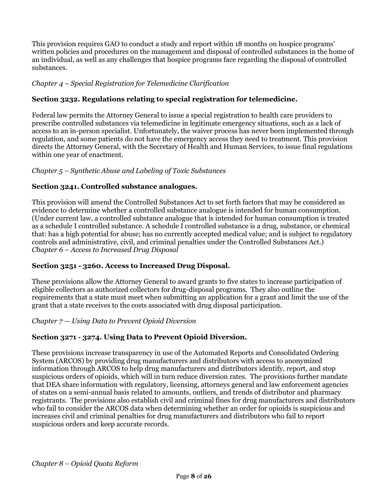This provision requires GAO to conduct a study and report within 18 months on hospice programs' written policies and procedures on the management and disposal of controlled substances in the home of an individual, as well as any challenges that hospice programs face regarding the disposal of controlled substances.

# *Chapter 4 – Special Registration for Telemedicine Clarification*

# **Section 3232. Regulations relating to special registration for telemedicine.**

Federal law permits the Attorney General to issue a special registration to health care providers to prescribe controlled substances via telemedicine in legitimate emergency situations, such as a lack of access to an in-person specialist. Unfortunately, the waiver process has never been implemented through regulation, and some patients do not have the emergency access they need to treatment. This provision directs the Attorney General, with the Secretary of Health and Human Services, to issue final regulations within one year of enactment.

# *Chapter 5 – Synthetic Abuse and Labeling of Toxic Substances*

# **Section 3241. Controlled substance analogues.**

This provision will amend the Controlled Substances Act to set forth factors that may be considered as evidence to determine whether a controlled substance analogue is intended for human consumption. (Under current law, a controlled substance analogue that is intended for human consumption is treated as a schedule I controlled substance. A schedule I controlled substance is a drug, substance, or chemical that: has a high potential for abuse; has no currently accepted medical value; and is subject to regulatory controls and administrative, civil, and criminal penalties under the Controlled Substances Act.) *Chapter 6 – Access to Increased Drug Disposal*

#### **Section 3251 - 3260. Access to Increased Drug Disposal.**

These provisions allow the Attorney General to award grants to five states to increase participation of eligible collectors as authorized collectors for drug-disposal programs. They also outline the requirements that a state must meet when submitting an application for a grant and limit the use of the grant that a state receives to the costs associated with drug disposal participation.

#### *Chapter 7 — Using Data to Prevent Opioid Diversion*

# **Section 3271 - 3274. Using Data to Prevent Opioid Diversion.**

These provisions increase transparency in use of the Automated Reports and Consolidated Ordering System (ARCOS) by providing drug manufacturers and distributors with access to anonymized information through ARCOS to help drug manufacturers and distributors identify, report, and stop suspicious orders of opioids, which will in turn reduce diversion rates. The provisions further mandate that DEA share information with regulatory, licensing, attorneys general and law enforcement agencies of states on a semi-annual basis related to amounts, outliers, and trends of distributor and pharmacy registrants. The provisions also establish civil and criminal fines for drug manufacturers and distributors who fail to consider the ARCOS data when determining whether an order for opioids is suspicious and increases civil and criminal penalties for drug manufacturers and distributors who fail to report suspicious orders and keep accurate records.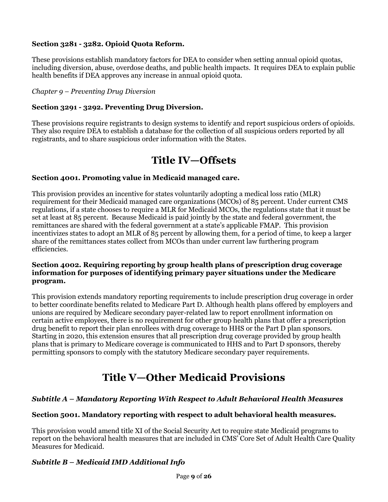# **Section 3281 - 3282. Opioid Quota Reform.**

These provisions establish mandatory factors for DEA to consider when setting annual opioid quotas, including diversion, abuse, overdose deaths, and public health impacts. It requires DEA to explain public health benefits if DEA approves any increase in annual opioid quota.

#### *Chapter 9 – Preventing Drug Diversion*

#### **Section 3291 - 3292. Preventing Drug Diversion.**

These provisions require registrants to design systems to identify and report suspicious orders of opioids. They also require DEA to establish a database for the collection of all suspicious orders reported by all registrants, and to share suspicious order information with the States.

# **Title IV—Offsets**

#### **Section 4001. Promoting value in Medicaid managed care.**

This provision provides an incentive for states voluntarily adopting a medical loss ratio (MLR) requirement for their Medicaid managed care organizations (MCOs) of 85 percent. Under current CMS regulations, if a state chooses to require a MLR for Medicaid MCOs, the regulations state that it must be set at least at 85 percent. Because Medicaid is paid jointly by the state and federal government, the remittances are shared with the federal government at a state's applicable FMAP. This provision incentivizes states to adopt an MLR of 85 percent by allowing them, for a period of time, to keep a larger share of the remittances states collect from MCOs than under current law furthering program efficiencies.

#### **Section 4002. Requiring reporting by group health plans of prescription drug coverage information for purposes of identifying primary payer situations under the Medicare program.**

This provision extends mandatory reporting requirements to include prescription drug coverage in order to better coordinate benefits related to Medicare Part D. Although health plans offered by employers and unions are required by Medicare secondary payer-related law to report enrollment information on certain active employees, there is no requirement for other group health plans that offer a prescription drug benefit to report their plan enrollees with drug coverage to HHS or the Part D plan sponsors. Starting in 2020, this extension ensures that all prescription drug coverage provided by group health plans that is primary to Medicare coverage is communicated to HHS and to Part D sponsors, thereby permitting sponsors to comply with the statutory Medicare secondary payer requirements.

# **Title V—Other Medicaid Provisions**

#### *Subtitle A – Mandatory Reporting With Respect to Adult Behavioral Health Measures*

#### **Section 5001. Mandatory reporting with respect to adult behavioral health measures.**

This provision would amend title XI of the Social Security Act to require state Medicaid programs to report on the behavioral health measures that are included in CMS' Core Set of Adult Health Care Quality Measures for Medicaid.

#### *Subtitle B – Medicaid IMD Additional Info*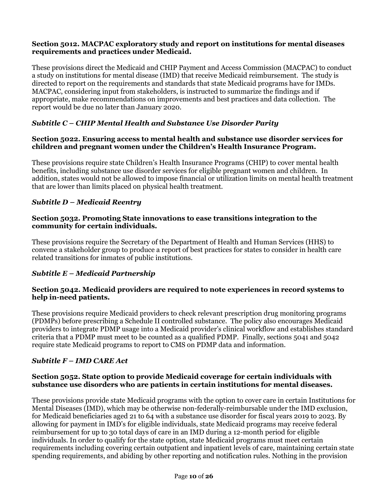#### **Section 5012. MACPAC exploratory study and report on institutions for mental diseases requirements and practices under Medicaid.**

These provisions direct the Medicaid and CHIP Payment and Access Commission (MACPAC) to conduct a study on institutions for mental disease (IMD) that receive Medicaid reimbursement. The study is directed to report on the requirements and standards that state Medicaid programs have for IMDs. MACPAC, considering input from stakeholders, is instructed to summarize the findings and if appropriate, make recommendations on improvements and best practices and data collection. The report would be due no later than January 2020.

# *Subtitle C – CHIP Mental Health and Substance Use Disorder Parity*

#### **Section 5022. Ensuring access to mental health and substance use disorder services for children and pregnant women under the Children's Health Insurance Program.**

These provisions require state Children's Health Insurance Programs (CHIP) to cover mental health benefits, including substance use disorder services for eligible pregnant women and children. In addition, states would not be allowed to impose financial or utilization limits on mental health treatment that are lower than limits placed on physical health treatment.

# *Subtitle D – Medicaid Reentry*

#### **Section 5032. Promoting State innovations to ease transitions integration to the community for certain individuals.**

These provisions require the Secretary of the Department of Health and Human Services (HHS) to convene a stakeholder group to produce a report of best practices for states to consider in health care related transitions for inmates of public institutions.

#### *Subtitle E – Medicaid Partnership*

#### **Section 5042. Medicaid providers are required to note experiences in record systems to help in-need patients.**

These provisions require Medicaid providers to check relevant prescription drug monitoring programs (PDMPs) before prescribing a Schedule II controlled substance. The policy also encourages Medicaid providers to integrate PDMP usage into a Medicaid provider's clinical workflow and establishes standard criteria that a PDMP must meet to be counted as a qualified PDMP. Finally, sections 5041 and 5042 require state Medicaid programs to report to CMS on PDMP data and information.

#### *Subtitle F – IMD CARE Act*

#### **Section 5052. State option to provide Medicaid coverage for certain individuals with substance use disorders who are patients in certain institutions for mental diseases.**

These provisions provide state Medicaid programs with the option to cover care in certain Institutions for Mental Diseases (IMD), which may be otherwise non-federally-reimbursable under the IMD exclusion, for Medicaid beneficiaries aged 21 to 64 with a substance use disorder for fiscal years 2019 to 2023. By allowing for payment in IMD's for eligible individuals, state Medicaid programs may receive federal reimbursement for up to 30 total days of care in an IMD during a 12-month period for eligible individuals. In order to qualify for the state option, state Medicaid programs must meet certain requirements including covering certain outpatient and inpatient levels of care, maintaining certain state spending requirements, and abiding by other reporting and notification rules. Nothing in the provision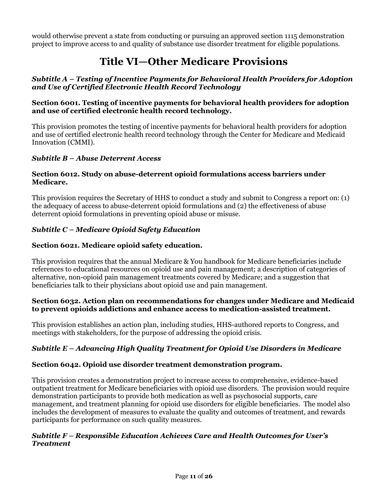would otherwise prevent a state from conducting or pursuing an approved section 1115 demonstration project to improve access to and quality of substance use disorder treatment for eligible populations.

# **Title VI—Other Medicare Provisions**

#### *Subtitle A – Testing of Incentive Payments for Behavioral Health Providers for Adoption and Use of Certified Electronic Health Record Technology*

#### **Section 6001. Testing of incentive payments for behavioral health providers for adoption and use of certified electronic health record technology.**

This provision promotes the testing of incentive payments for behavioral health providers for adoption and use of certified electronic health record technology through the Center for Medicare and Medicaid Innovation (CMMI).

# *Subtitle B – Abuse Deterrent Access*

#### **Section 6012. Study on abuse-deterrent opioid formulations access barriers under Medicare.**

This provision requires the Secretary of HHS to conduct a study and submit to Congress a report on: (1) the adequacy of access to abuse-deterrent opioid formulations and (2) the effectiveness of abuse deterrent opioid formulations in preventing opioid abuse or misuse.

# *Subtitle C – Medicare Opioid Safety Education*

# **Section 6021. Medicare opioid safety education.**

This provision requires that the annual Medicare & You handbook for Medicare beneficiaries include references to educational resources on opioid use and pain management; a description of categories of alternative, non-opioid pain management treatments covered by Medicare; and a suggestion that beneficiaries talk to their physicians about opioid use and pain management.

#### **Section 6032. Action plan on recommendations for changes under Medicare and Medicaid to prevent opioids addictions and enhance access to medication-assisted treatment.**

This provision establishes an action plan, including studies, HHS-authored reports to Congress, and meetings with stakeholders, for the purpose of addressing the opioid crisis.

# *Subtitle E – Advancing High Quality Treatment for Opioid Use Disorders in Medicare*

#### **Section 6042. Opioid use disorder treatment demonstration program.**

This provision creates a demonstration project to increase access to comprehensive, evidence-based outpatient treatment for Medicare beneficiaries with opioid use disorders. The provision would require demonstration participants to provide both medication as well as psychosocial supports, care management, and treatment planning for opioid use disorders for eligible beneficiaries. The model also includes the development of measures to evaluate the quality and outcomes of treatment, and rewards participants for performance on such quality measures.

#### *Subtitle F – Responsible Education Achieves Care and Health Outcomes for User's Treatment*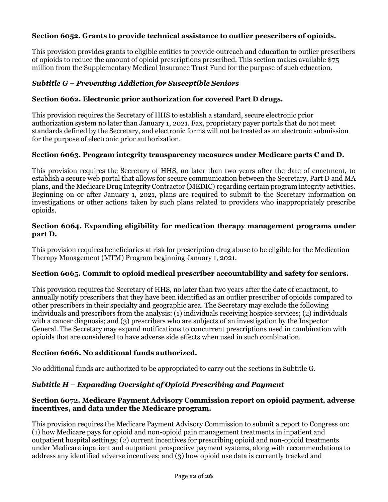# **Section 6052. Grants to provide technical assistance to outlier prescribers of opioids.**

This provision provides grants to eligible entities to provide outreach and education to outlier prescribers of opioids to reduce the amount of opioid prescriptions prescribed. This section makes available \$75 million from the Supplementary Medical Insurance Trust Fund for the purpose of such education.

### *Subtitle G – Preventing Addiction for Susceptible Seniors*

### **Section 6062. Electronic prior authorization for covered Part D drugs.**

This provision requires the Secretary of HHS to establish a standard, secure electronic prior authorization system no later than January 1, 2021. Fax, proprietary payer portals that do not meet standards defined by the Secretary, and electronic forms will not be treated as an electronic submission for the purpose of electronic prior authorization.

#### **Section 6063. Program integrity transparency measures under Medicare parts C and D.**

This provision requires the Secretary of HHS, no later than two years after the date of enactment, to establish a secure web portal that allows for secure communication between the Secretary, Part D and MA plans, and the Medicare Drug Integrity Contractor (MEDIC) regarding certain program integrity activities. Beginning on or after January 1, 2021, plans are required to submit to the Secretary information on investigations or other actions taken by such plans related to providers who inappropriately prescribe opioids.

#### **Section 6064. Expanding eligibility for medication therapy management programs under part D.**

This provision requires beneficiaries at risk for prescription drug abuse to be eligible for the Medication Therapy Management (MTM) Program beginning January 1, 2021.

#### **Section 6065. Commit to opioid medical prescriber accountability and safety for seniors.**

This provision requires the Secretary of HHS, no later than two years after the date of enactment, to annually notify prescribers that they have been identified as an outlier prescriber of opioids compared to other prescribers in their specialty and geographic area. The Secretary may exclude the following individuals and prescribers from the analysis: (1) individuals receiving hospice services; (2) individuals with a cancer diagnosis; and (3) prescribers who are subjects of an investigation by the Inspector General. The Secretary may expand notifications to concurrent prescriptions used in combination with opioids that are considered to have adverse side effects when used in such combination.

#### **Section 6066. No additional funds authorized.**

No additional funds are authorized to be appropriated to carry out the sections in Subtitle G.

#### *Subtitle H – Expanding Oversight of Opioid Prescribing and Payment*

#### **Section 6072. Medicare Payment Advisory Commission report on opioid payment, adverse incentives, and data under the Medicare program.**

This provision requires the Medicare Payment Advisory Commission to submit a report to Congress on: (1) how Medicare pays for opioid and non-opioid pain management treatments in inpatient and outpatient hospital settings; (2) current incentives for prescribing opioid and non-opioid treatments under Medicare inpatient and outpatient prospective payment systems, along with recommendations to address any identified adverse incentives; and (3) how opioid use data is currently tracked and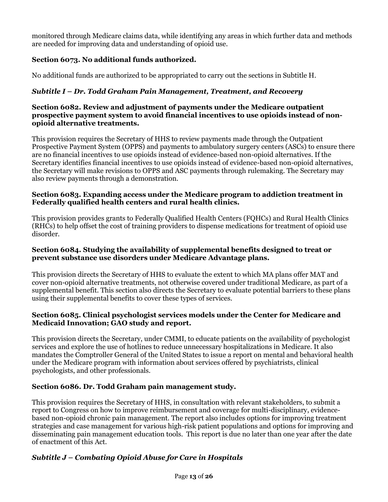monitored through Medicare claims data, while identifying any areas in which further data and methods are needed for improving data and understanding of opioid use.

# **Section 6073. No additional funds authorized.**

No additional funds are authorized to be appropriated to carry out the sections in Subtitle H.

# *Subtitle I – Dr. Todd Graham Pain Management, Treatment, and Recovery*

#### **Section 6082. Review and adjustment of payments under the Medicare outpatient prospective payment system to avoid financial incentives to use opioids instead of nonopioid alternative treatments.**

This provision requires the Secretary of HHS to review payments made through the Outpatient Prospective Payment System (OPPS) and payments to ambulatory surgery centers (ASCs) to ensure there are no financial incentives to use opioids instead of evidence-based non-opioid alternatives. If the Secretary identifies financial incentives to use opioids instead of evidence-based non-opioid alternatives, the Secretary will make revisions to OPPS and ASC payments through rulemaking. The Secretary may also review payments through a demonstration.

# **Section 6083. Expanding access under the Medicare program to addiction treatment in Federally qualified health centers and rural health clinics.**

This provision provides grants to Federally Qualified Health Centers (FQHCs) and Rural Health Clinics (RHCs) to help offset the cost of training providers to dispense medications for treatment of opioid use disorder.

# **Section 6084. Studying the availability of supplemental benefits designed to treat or prevent substance use disorders under Medicare Advantage plans.**

This provision directs the Secretary of HHS to evaluate the extent to which MA plans offer MAT and cover non-opioid alternative treatments, not otherwise covered under traditional Medicare, as part of a supplemental benefit. This section also directs the Secretary to evaluate potential barriers to these plans using their supplemental benefits to cover these types of services.

# **Section 6085. Clinical psychologist services models under the Center for Medicare and Medicaid Innovation; GAO study and report.**

This provision directs the Secretary, under CMMI, to educate patients on the availability of psychologist services and explore the use of hotlines to reduce unnecessary hospitalizations in Medicare. It also mandates the Comptroller General of the United States to issue a report on mental and behavioral health under the Medicare program with information about services offered by psychiatrists, clinical psychologists, and other professionals.

# **Section 6086. Dr. Todd Graham pain management study.**

This provision requires the Secretary of HHS, in consultation with relevant stakeholders, to submit a report to Congress on how to improve reimbursement and coverage for multi-disciplinary, evidencebased non-opioid chronic pain management. The report also includes options for improving treatment strategies and case management for various high-risk patient populations and options for improving and disseminating pain management education tools. This report is due no later than one year after the date of enactment of this Act.

# *Subtitle J – Combating Opioid Abuse for Care in Hospitals*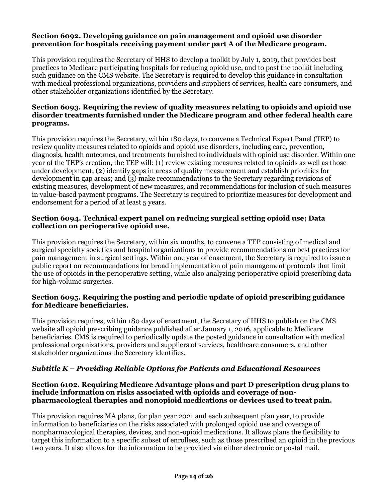#### **Section 6092. Developing guidance on pain management and opioid use disorder prevention for hospitals receiving payment under part A of the Medicare program.**

This provision requires the Secretary of HHS to develop a toolkit by July 1, 2019, that provides best practices to Medicare participating hospitals for reducing opioid use, and to post the toolkit including such guidance on the CMS website. The Secretary is required to develop this guidance in consultation with medical professional organizations, providers and suppliers of services, health care consumers, and other stakeholder organizations identified by the Secretary.

#### **Section 6093. Requiring the review of quality measures relating to opioids and opioid use disorder treatments furnished under the Medicare program and other federal health care programs.**

This provision requires the Secretary, within 180 days, to convene a Technical Expert Panel (TEP) to review quality measures related to opioids and opioid use disorders, including care, prevention, diagnosis, health outcomes, and treatments furnished to individuals with opioid use disorder. Within one year of the TEP's creation, the TEP will: (1) review existing measures related to opioids as well as those under development; (2) identify gaps in areas of quality measurement and establish priorities for development in gap areas; and (3) make recommendations to the Secretary regarding revisions of existing measures, development of new measures, and recommendations for inclusion of such measures in value-based payment programs. The Secretary is required to prioritize measures for development and endorsement for a period of at least 5 years.

### **Section 6094. Technical expert panel on reducing surgical setting opioid use; Data collection on perioperative opioid use.**

This provision requires the Secretary, within six months, to convene a TEP consisting of medical and surgical specialty societies and hospital organizations to provide recommendations on best practices for pain management in surgical settings. Within one year of enactment, the Secretary is required to issue a public report on recommendations for broad implementation of pain management protocols that limit the use of opioids in the perioperative setting, while also analyzing perioperative opioid prescribing data for high-volume surgeries.

#### **Section 6095. Requiring the posting and periodic update of opioid prescribing guidance for Medicare beneficiaries.**

This provision requires, within 180 days of enactment, the Secretary of HHS to publish on the CMS website all opioid prescribing guidance published after January 1, 2016, applicable to Medicare beneficiaries. CMS is required to periodically update the posted guidance in consultation with medical professional organizations, providers and suppliers of services, healthcare consumers, and other stakeholder organizations the Secretary identifies.

#### *Subtitle K – Providing Reliable Options for Patients and Educational Resources*

#### **Section 6102. Requiring Medicare Advantage plans and part D prescription drug plans to include information on risks associated with opioids and coverage of nonpharmacological therapies and nonopioid medications or devices used to treat pain.**

This provision requires MA plans, for plan year 2021 and each subsequent plan year, to provide information to beneficiaries on the risks associated with prolonged opioid use and coverage of nonpharmacological therapies, devices, and non-opioid medications. It allows plans the flexibility to target this information to a specific subset of enrollees, such as those prescribed an opioid in the previous two years. It also allows for the information to be provided via either electronic or postal mail.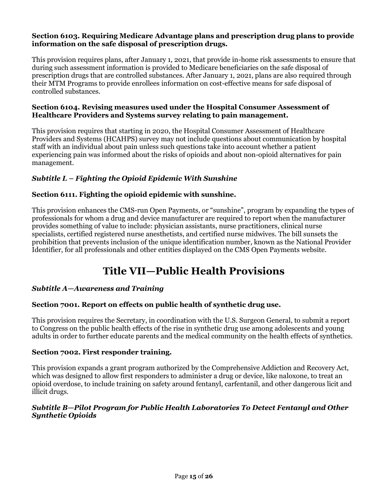#### **Section 6103. Requiring Medicare Advantage plans and prescription drug plans to provide information on the safe disposal of prescription drugs.**

This provision requires plans, after January 1, 2021, that provide in-home risk assessments to ensure that during such assessment information is provided to Medicare beneficiaries on the safe disposal of prescription drugs that are controlled substances. After January 1, 2021, plans are also required through their MTM Programs to provide enrollees information on cost-effective means for safe disposal of controlled substances.

#### **Section 6104. Revising measures used under the Hospital Consumer Assessment of Healthcare Providers and Systems survey relating to pain management.**

This provision requires that starting in 2020, the Hospital Consumer Assessment of Healthcare Providers and Systems (HCAHPS) survey may not include questions about communication by hospital staff with an individual about pain unless such questions take into account whether a patient experiencing pain was informed about the risks of opioids and about non-opioid alternatives for pain management.

# *Subtitle L – Fighting the Opioid Epidemic With Sunshine*

# **Section 6111. Fighting the opioid epidemic with sunshine.**

This provision enhances the CMS-run Open Payments, or "sunshine", program by expanding the types of professionals for whom a drug and device manufacturer are required to report when the manufacturer provides something of value to include: physician assistants, nurse practitioners, clinical nurse specialists, certified registered nurse anesthetists, and certified nurse midwives. The bill sunsets the prohibition that prevents inclusion of the unique identification number, known as the National Provider Identifier, for all professionals and other entities displayed on the CMS Open Payments website.

# **Title VII—Public Health Provisions**

#### *Subtitle A—Awareness and Training*

#### **Section 7001. Report on effects on public health of synthetic drug use.**

This provision requires the Secretary, in coordination with the U.S. Surgeon General, to submit a report to Congress on the public health effects of the rise in synthetic drug use among adolescents and young adults in order to further educate parents and the medical community on the health effects of synthetics.

#### **Section 7002. First responder training.**

This provision expands a grant program authorized by the Comprehensive Addiction and Recovery Act, which was designed to allow first responders to administer a drug or device, like naloxone, to treat an opioid overdose, to include training on safety around fentanyl, carfentanil, and other dangerous licit and illicit drugs.

#### *Subtitle B—Pilot Program for Public Health Laboratories To Detect Fentanyl and Other Synthetic Opioids*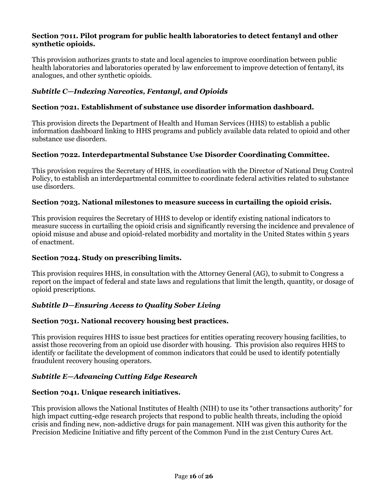#### **Section 7011. Pilot program for public health laboratories to detect fentanyl and other synthetic opioids.**

This provision authorizes grants to state and local agencies to improve coordination between public health laboratories and laboratories operated by law enforcement to improve detection of fentanyl, its analogues, and other synthetic opioids.

# *Subtitle C—Indexing Narcotics, Fentanyl, and Opioids*

#### **Section 7021. Establishment of substance use disorder information dashboard.**

This provision directs the Department of Health and Human Services (HHS) to establish a public information dashboard linking to HHS programs and publicly available data related to opioid and other substance use disorders.

#### **Section 7022. Interdepartmental Substance Use Disorder Coordinating Committee.**

This provision requires the Secretary of HHS, in coordination with the Director of National Drug Control Policy, to establish an interdepartmental committee to coordinate federal activities related to substance use disorders.

#### **Section 7023. National milestones to measure success in curtailing the opioid crisis.**

This provision requires the Secretary of HHS to develop or identify existing national indicators to measure success in curtailing the opioid crisis and significantly reversing the incidence and prevalence of opioid misuse and abuse and opioid-related morbidity and mortality in the United States within 5 years of enactment.

#### **Section 7024. Study on prescribing limits.**

This provision requires HHS, in consultation with the Attorney General (AG), to submit to Congress a report on the impact of federal and state laws and regulations that limit the length, quantity, or dosage of opioid prescriptions.

#### *Subtitle D—Ensuring Access to Quality Sober Living*

#### **Section 7031. National recovery housing best practices.**

This provision requires HHS to issue best practices for entities operating recovery housing facilities, to assist those recovering from an opioid use disorder with housing. This provision also requires HHS to identify or facilitate the development of common indicators that could be used to identify potentially fraudulent recovery housing operators.

#### *Subtitle E—Advancing Cutting Edge Research*

#### **Section 7041. Unique research initiatives.**

This provision allows the National Institutes of Health (NIH) to use its "other transactions authority" for high impact cutting-edge research projects that respond to public health threats, including the opioid crisis and finding new, non-addictive drugs for pain management. NIH was given this authority for the Precision Medicine Initiative and fifty percent of the Common Fund in the 21st Century Cures Act.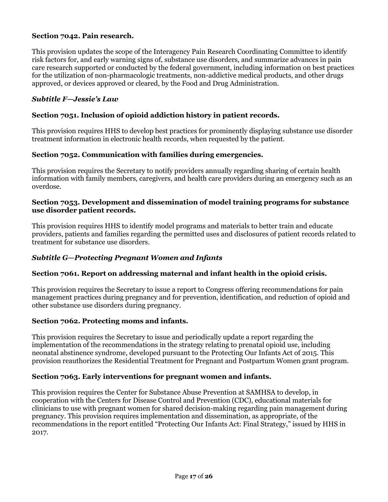#### **Section 7042. Pain research.**

This provision updates the scope of the Interagency Pain Research Coordinating Committee to identify risk factors for, and early warning signs of, substance use disorders, and summarize advances in pain care research supported or conducted by the federal government, including information on best practices for the utilization of non-pharmacologic treatments, non-addictive medical products, and other drugs approved, or devices approved or cleared, by the Food and Drug Administration.

#### *Subtitle F—Jessie's Law*

#### **Section 7051. Inclusion of opioid addiction history in patient records.**

This provision requires HHS to develop best practices for prominently displaying substance use disorder treatment information in electronic health records, when requested by the patient.

#### **Section 7052. Communication with families during emergencies.**

This provision requires the Secretary to notify providers annually regarding sharing of certain health information with family members, caregivers, and health care providers during an emergency such as an overdose.

#### **Section 7053. Development and dissemination of model training programs for substance use disorder patient records.**

This provision requires HHS to identify model programs and materials to better train and educate providers, patients and families regarding the permitted uses and disclosures of patient records related to treatment for substance use disorders.

#### *Subtitle G—Protecting Pregnant Women and Infants*

#### **Section 7061. Report on addressing maternal and infant health in the opioid crisis.**

This provision requires the Secretary to issue a report to Congress offering recommendations for pain management practices during pregnancy and for prevention, identification, and reduction of opioid and other substance use disorders during pregnancy.

#### **Section 7062. Protecting moms and infants.**

This provision requires the Secretary to issue and periodically update a report regarding the implementation of the recommendations in the strategy relating to prenatal opioid use, including neonatal abstinence syndrome, developed pursuant to the Protecting Our Infants Act of 2015. This provision reauthorizes the Residential Treatment for Pregnant and Postpartum Women grant program.

#### **Section 7063. Early interventions for pregnant women and infants.**

This provision requires the Center for Substance Abuse Prevention at SAMHSA to develop, in cooperation with the Centers for Disease Control and Prevention (CDC), educational materials for clinicians to use with pregnant women for shared decision-making regarding pain management during pregnancy. This provision requires implementation and dissemination, as appropriate, of the recommendations in the report entitled "Protecting Our Infants Act: Final Strategy," issued by HHS in 2017.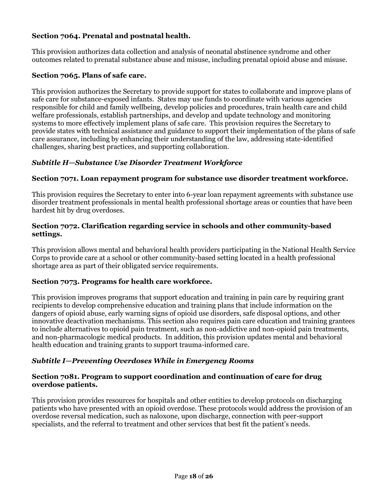# **Section 7064. Prenatal and postnatal health.**

This provision authorizes data collection and analysis of neonatal abstinence syndrome and other outcomes related to prenatal substance abuse and misuse, including prenatal opioid abuse and misuse.

#### **Section 7065. Plans of safe care.**

This provision authorizes the Secretary to provide support for states to collaborate and improve plans of safe care for substance-exposed infants. States may use funds to coordinate with various agencies responsible for child and family wellbeing, develop policies and procedures, train health care and child welfare professionals, establish partnerships, and develop and update technology and monitoring systems to more effectively implement plans of safe care. This provision requires the Secretary to provide states with technical assistance and guidance to support their implementation of the plans of safe care assurance, including by enhancing their understanding of the law, addressing state-identified challenges, sharing best practices, and supporting collaboration.

#### *Subtitle H—Substance Use Disorder Treatment Workforce*

#### **Section 7071. Loan repayment program for substance use disorder treatment workforce.**

This provision requires the Secretary to enter into 6-year loan repayment agreements with substance use disorder treatment professionals in mental health professional shortage areas or counties that have been hardest hit by drug overdoses.

#### **Section 7072. Clarification regarding service in schools and other community-based settings.**

This provision allows mental and behavioral health providers participating in the National Health Service Corps to provide care at a school or other community-based setting located in a health professional shortage area as part of their obligated service requirements.

#### **Section 7073. Programs for health care workforce.**

This provision improves programs that support education and training in pain care by requiring grant recipients to develop comprehensive education and training plans that include information on the dangers of opioid abuse, early warning signs of opioid use disorders, safe disposal options, and other innovative deactivation mechanisms. This section also requires pain care education and training grantees to include alternatives to opioid pain treatment, such as non-addictive and non-opioid pain treatments, and non-pharmacologic medical products. In addition, this provision updates mental and behavioral health education and training grants to support trauma-informed care.

#### *Subtitle I—Preventing Overdoses While in Emergency Rooms*

#### **Section 7081. Program to support coordination and continuation of care for drug overdose patients.**

This provision provides resources for hospitals and other entities to develop protocols on discharging patients who have presented with an opioid overdose. These protocols would address the provision of an overdose reversal medication, such as naloxone, upon discharge, connection with peer-support specialists, and the referral to treatment and other services that best fit the patient's needs.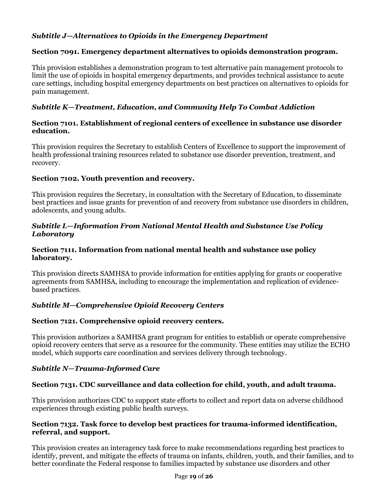# *Subtitle J—Alternatives to Opioids in the Emergency Department*

# **Section 7091. Emergency department alternatives to opioids demonstration program.**

This provision establishes a demonstration program to test alternative pain management protocols to limit the use of opioids in hospital emergency departments, and provides technical assistance to acute care settings, including hospital emergency departments on best practices on alternatives to opioids for pain management.

# *Subtitle K—Treatment, Education, and Community Help To Combat Addiction*

#### **Section 7101. Establishment of regional centers of excellence in substance use disorder education.**

This provision requires the Secretary to establish Centers of Excellence to support the improvement of health professional training resources related to substance use disorder prevention, treatment, and recovery.

# **Section 7102. Youth prevention and recovery.**

This provision requires the Secretary, in consultation with the Secretary of Education, to disseminate best practices and issue grants for prevention of and recovery from substance use disorders in children, adolescents, and young adults.

### *Subtitle L—Information From National Mental Health and Substance Use Policy Laboratory*

#### **Section 7111. Information from national mental health and substance use policy laboratory.**

This provision directs SAMHSA to provide information for entities applying for grants or cooperative agreements from SAMHSA, including to encourage the implementation and replication of evidencebased practices.

# *Subtitle M—Comprehensive Opioid Recovery Centers*

# **Section 7121. Comprehensive opioid recovery centers.**

This provision authorizes a SAMHSA grant program for entities to establish or operate comprehensive opioid recovery centers that serve as a resource for the community. These entities may utilize the ECHO model, which supports care coordination and services delivery through technology.

# *Subtitle N—Trauma-Informed Care*

# **Section 7131. CDC surveillance and data collection for child, youth, and adult trauma.**

This provision authorizes CDC to support state efforts to collect and report data on adverse childhood experiences through existing public health surveys.

#### **Section 7132. Task force to develop best practices for trauma-informed identification, referral, and support.**

This provision creates an interagency task force to make recommendations regarding best practices to identify, prevent, and mitigate the effects of trauma on infants, children, youth, and their families, and to better coordinate the Federal response to families impacted by substance use disorders and other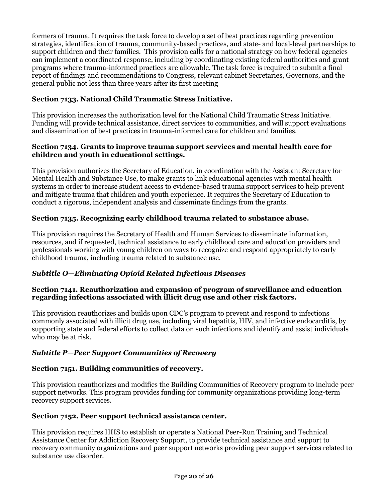formers of trauma. It requires the task force to develop a set of best practices regarding prevention strategies, identification of trauma, community-based practices, and state- and local-level partnerships to support children and their families. This provision calls for a national strategy on how federal agencies can implement a coordinated response, including by coordinating existing federal authorities and grant programs where trauma-informed practices are allowable. The task force is required to submit a final report of findings and recommendations to Congress, relevant cabinet Secretaries, Governors, and the general public not less than three years after its first meeting

# **Section 7133. National Child Traumatic Stress Initiative.**

This provision increases the authorization level for the National Child Traumatic Stress Initiative. Funding will provide technical assistance, direct services to communities, and will support evaluations and dissemination of best practices in trauma-informed care for children and families.

### **Section 7134. Grants to improve trauma support services and mental health care for children and youth in educational settings.**

This provision authorizes the Secretary of Education, in coordination with the Assistant Secretary for Mental Health and Substance Use, to make grants to link educational agencies with mental health systems in order to increase student access to evidence-based trauma support services to help prevent and mitigate trauma that children and youth experience. It requires the Secretary of Education to conduct a rigorous, independent analysis and disseminate findings from the grants.

# **Section 7135. Recognizing early childhood trauma related to substance abuse.**

This provision requires the Secretary of Health and Human Services to disseminate information, resources, and if requested, technical assistance to early childhood care and education providers and professionals working with young children on ways to recognize and respond appropriately to early childhood trauma, including trauma related to substance use.

# *Subtitle O—Eliminating Opioid Related Infectious Diseases*

# **Section 7141. Reauthorization and expansion of program of surveillance and education regarding infections associated with illicit drug use and other risk factors.**

This provision reauthorizes and builds upon CDC's program to prevent and respond to infections commonly associated with illicit drug use, including viral hepatitis, HIV, and infective endocarditis, by supporting state and federal efforts to collect data on such infections and identify and assist individuals who may be at risk.

# *Subtitle P—Peer Support Communities of Recovery*

#### **Section 7151. Building communities of recovery.**

This provision reauthorizes and modifies the Building Communities of Recovery program to include peer support networks. This program provides funding for community organizations providing long-term recovery support services.

#### **Section 7152. Peer support technical assistance center.**

This provision requires HHS to establish or operate a National Peer-Run Training and Technical Assistance Center for Addiction Recovery Support, to provide technical assistance and support to recovery community organizations and peer support networks providing peer support services related to substance use disorder.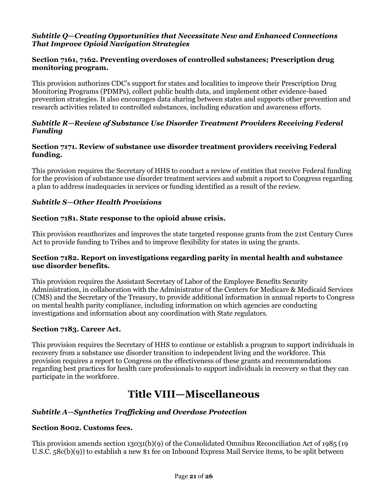#### *Subtitle Q—Creating Opportunities that Necessitate New and Enhanced Connections That Improve Opioid Navigation Strategies*

#### **Section 7161, 7162. Preventing overdoses of controlled substances; Prescription drug monitoring program.**

This provision authorizes CDC's support for states and localities to improve their Prescription Drug Monitoring Programs (PDMPs), collect public health data, and implement other evidence-based prevention strategies. It also encourages data sharing between states and supports other prevention and research activities related to controlled substances, including education and awareness efforts.

### *Subtitle R—Review of Substance Use Disorder Treatment Providers Receiving Federal Funding*

### **Section 7171. Review of substance use disorder treatment providers receiving Federal funding.**

This provision requires the Secretary of HHS to conduct a review of entities that receive Federal funding for the provision of substance use disorder treatment services and submit a report to Congress regarding a plan to address inadequacies in services or funding identified as a result of the review.

# *Subtitle S—Other Health Provisions*

#### **Section 7181. State response to the opioid abuse crisis.**

This provision reauthorizes and improves the state targeted response grants from the 21st Century Cures Act to provide funding to Tribes and to improve flexibility for states in using the grants.

#### **Section 7182. Report on investigations regarding parity in mental health and substance use disorder benefits.**

This provision requires the Assistant Secretary of Labor of the Employee Benefits Security Administration, in collaboration with the Administrator of the Centers for Medicare & Medicaid Services (CMS) and the Secretary of the Treasury, to provide additional information in annual reports to Congress on mental health parity compliance, including information on which agencies are conducting investigations and information about any coordination with State regulators.

#### **Section 7183. Career Act.**

This provision requires the Secretary of HHS to continue or establish a program to support individuals in recovery from a substance use disorder transition to independent living and the workforce. This provision requires a report to Congress on the effectiveness of these grants and recommendations regarding best practices for health care professionals to support individuals in recovery so that they can participate in the workforce.

# **Title VIII—Miscellaneous**

# *Subtitle A—Synthetics Trafficking and Overdose Protection*

#### **Section 8002. Customs fees.**

This provision amends section 13031(b)(9) of the Consolidated Omnibus Reconciliation Act of 1985 (19 U.S.C. 58c(b)(9)) to establish a new \$1 fee on Inbound Express Mail Service items, to be split between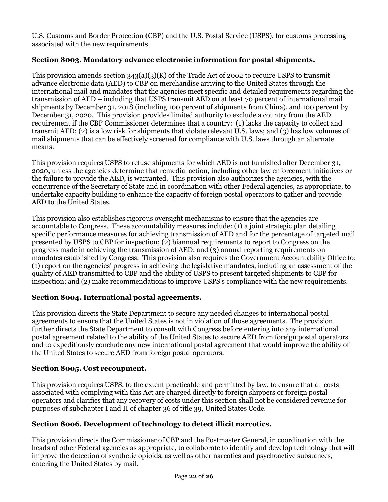U.S. Customs and Border Protection (CBP) and the U.S. Postal Service (USPS), for customs processing associated with the new requirements.

# **Section 8003. Mandatory advance electronic information for postal shipments.**

This provision amends section  $343(a)(3)(K)$  of the Trade Act of 2002 to require USPS to transmit advance electronic data (AED) to CBP on merchandise arriving to the United States through the international mail and mandates that the agencies meet specific and detailed requirements regarding the transmission of AED – including that USPS transmit AED on at least 70 percent of international mail shipments by December 31, 2018 (including 100 percent of shipments from China), and 100 percent by December 31, 2020. This provision provides limited authority to exclude a country from the AED requirement if the CBP Commissioner determines that a country: (1) lacks the capacity to collect and transmit AED; (2) is a low risk for shipments that violate relevant U.S. laws; and (3) has low volumes of mail shipments that can be effectively screened for compliance with U.S. laws through an alternate means.

This provision requires USPS to refuse shipments for which AED is not furnished after December 31, 2020, unless the agencies determine that remedial action, including other law enforcement initiatives or the failure to provide the AED, is warranted. This provision also authorizes the agencies, with the concurrence of the Secretary of State and in coordination with other Federal agencies, as appropriate, to undertake capacity building to enhance the capacity of foreign postal operators to gather and provide AED to the United States.

This provision also establishes rigorous oversight mechanisms to ensure that the agencies are accountable to Congress. These accountability measures include: (1) a joint strategic plan detailing specific performance measures for achieving transmission of AED and for the percentage of targeted mail presented by USPS to CBP for inspection; (2) biannual requirements to report to Congress on the progress made in achieving the transmission of AED; and (3) annual reporting requirements on mandates established by Congress. This provision also requires the Government Accountability Office to: (1) report on the agencies' progress in achieving the legislative mandates, including an assessment of the quality of AED transmitted to CBP and the ability of USPS to present targeted shipments to CBP for inspection; and (2) make recommendations to improve USPS's compliance with the new requirements.

# **Section 8004. International postal agreements.**

This provision directs the State Department to secure any needed changes to international postal agreements to ensure that the United States is not in violation of those agreements. The provision further directs the State Department to consult with Congress before entering into any international postal agreement related to the ability of the United States to secure AED from foreign postal operators and to expeditiously conclude any new international postal agreement that would improve the ability of the United States to secure AED from foreign postal operators.

# **Section 8005. Cost recoupment.**

This provision requires USPS, to the extent practicable and permitted by law, to ensure that all costs associated with complying with this Act are charged directly to foreign shippers or foreign postal operators and clarifies that any recovery of costs under this section shall not be considered revenue for purposes of subchapter I and II of chapter 36 of title 39, United States Code.

# **Section 8006. Development of technology to detect illicit narcotics.**

This provision directs the Commissioner of CBP and the Postmaster General, in coordination with the heads of other Federal agencies as appropriate, to collaborate to identify and develop technology that will improve the detection of synthetic opioids, as well as other narcotics and psychoactive substances, entering the United States by mail.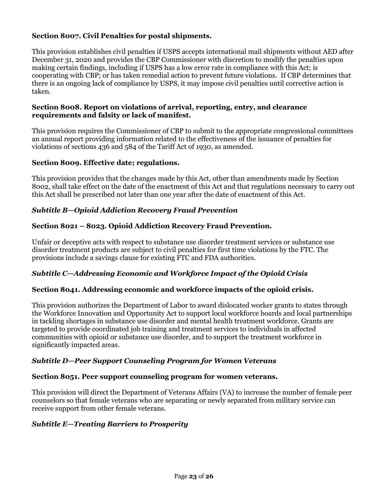# **Section 8007. Civil Penalties for postal shipments.**

This provision establishes civil penalties if USPS accepts international mail shipments without AED after December 31, 2020 and provides the CBP Commissioner with discretion to modify the penalties upon making certain findings, including if USPS has a low error rate in compliance with this Act; is cooperating with CBP; or has taken remedial action to prevent future violations. If CBP determines that there is an ongoing lack of compliance by USPS, it may impose civil penalties until corrective action is taken.

#### **Section 8008. Report on violations of arrival, reporting, entry, and clearance requirements and falsity or lack of manifest.**

This provision requires the Commissioner of CBP to submit to the appropriate congressional committees an annual report providing information related to the effectiveness of the issuance of penalties for violations of sections 436 and 584 of the Tariff Act of 1930, as amended.

#### **Section 8009. Effective date; regulations.**

This provision provides that the changes made by this Act, other than amendments made by Section 8002, shall take effect on the date of the enactment of this Act and that regulations necessary to carry out this Act shall be prescribed not later than one year after the date of enactment of this Act.

#### *Subtitle B—Opioid Addiction Recovery Fraud Prevention*

#### **Section 8021 – 8023. Opioid Addiction Recovery Fraud Prevention.**

Unfair or deceptive acts with respect to substance use disorder treatment services or substance use disorder treatment products are subject to civil penalties for first time violations by the FTC. The provisions include a savings clause for existing FTC and FDA authorities.

#### *Subtitle C—Addressing Economic and Workforce Impact of the Opioid Crisis*

#### **Section 8041. Addressing economic and workforce impacts of the opioid crisis.**

This provision authorizes the Department of Labor to award dislocated worker grants to states through the Workforce Innovation and Opportunity Act to support local workforce boards and local partnerships in tackling shortages in substance use disorder and mental health treatment workforce. Grants are targeted to provide coordinated job training and treatment services to individuals in affected communities with opioid or substance use disorder, and to support the treatment workforce in significantly impacted areas.

#### *Subtitle D—Peer Support Counseling Program for Women Veterans*

#### **Section 8051. Peer support counseling program for women veterans.**

This provision will direct the Department of Veterans Affairs (VA) to increase the number of female peer counselors so that female veterans who are separating or newly separated from military service can receive support from other female veterans.

#### *Subtitle E—Treating Barriers to Prosperity*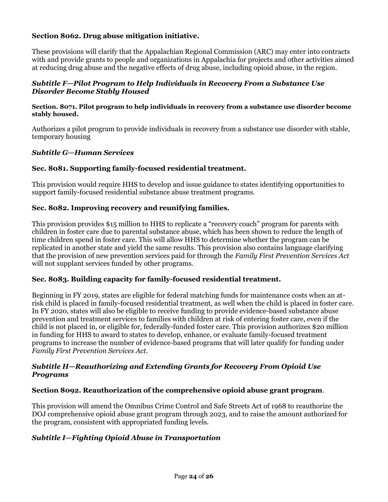# **Section 8062. Drug abuse mitigation initiative.**

These provisions will clarify that the Appalachian Regional Commission (ARC) may enter into contracts with and provide grants to people and organizations in Appalachia for projects and other activities aimed at reducing drug abuse and the negative effects of drug abuse, including opioid abuse, in the region.

#### *Subtitle F—Pilot Program to Help Individuals in Recovery From a Substance Use Disorder Become Stably Housed*

#### **Section. 8071. Pilot program to help individuals in recovery from a substance use disorder become stably housed.**

Authorizes a pilot program to provide individuals in recovery from a substance use disorder with stable, temporary housing

#### *Subtitle G—Human Services*

#### **Sec. 8081. Supporting family-focused residential treatment.**

This provision would require HHS to develop and issue guidance to states identifying opportunities to support family-focused residential substance abuse treatment programs.

#### **Sec. 8082. Improving recovery and reunifying families.**

This provision provides \$15 million to HHS to replicate a "recovery coach" program for parents with children in foster care due to parental substance abuse, which has been shown to reduce the length of time children spend in foster care. This will allow HHS to determine whether the program can be replicated in another state and yield the same results. This provision also contains language clarifying that the provision of new prevention services paid for through the *Family First Prevention Services Act* will not supplant services funded by other programs.

#### **Sec. 8083. Building capacity for family-focused residential treatment.**

Beginning in FY 2019, states are eligible for federal matching funds for maintenance costs when an atrisk child is placed in family-focused residential treatment, as well when the child is placed in foster care. In FY 2020, states will also be eligible to receive funding to provide evidence-based substance abuse prevention and treatment services to families with children at risk of entering foster care, even if the child is not placed in, or eligible for, federally-funded foster care. This provision authorizes \$20 million in funding for HHS to award to states to develop, enhance, or evaluate family-focused treatment programs to increase the number of evidence-based programs that will later qualify for funding under *Family First Prevention Services Act.*

#### *Subtitle H—Reauthorizing and Extending Grants for Recovery From Opioid Use Programs*

#### **Section 8092. Reauthorization of the comprehensive opioid abuse grant program**.

This provision will amend the Omnibus Crime Control and Safe Streets Act of 1968 to reauthorize the DOJ comprehensive opioid abuse grant program through 2023, and to raise the amount authorized for the program, consistent with appropriated funding levels.

#### *Subtitle I—Fighting Opioid Abuse in Transportation*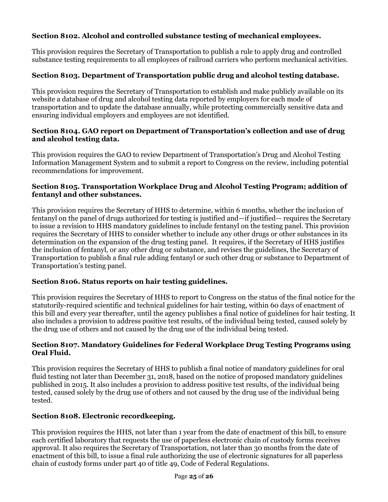# **Section 8102. Alcohol and controlled substance testing of mechanical employees.**

This provision requires the Secretary of Transportation to publish a rule to apply drug and controlled substance testing requirements to all employees of railroad carriers who perform mechanical activities.

# **Section 8103. Department of Transportation public drug and alcohol testing database.**

This provision requires the Secretary of Transportation to establish and make publicly available on its website a database of drug and alcohol testing data reported by employers for each mode of transportation and to update the database annually, while protecting commercially sensitive data and ensuring individual employers and employees are not identified.

### **Section 8104. GAO report on Department of Transportation's collection and use of drug and alcohol testing data.**

This provision requires the GAO to review Department of Transportation's Drug and Alcohol Testing Information Management System and to submit a report to Congress on the review, including potential recommendations for improvement.

### **Section 8105. Transportation Workplace Drug and Alcohol Testing Program; addition of fentanyl and other substances.**

This provision requires the Secretary of HHS to determine, within 6 months, whether the inclusion of fentanyl on the panel of drugs authorized for testing is justified and—if justified— requires the Secretary to issue a revision to HHS mandatory guidelines to include fentanyl on the testing panel. This provision requires the Secretary of HHS to consider whether to include any other drugs or other substances in its determination on the expansion of the drug testing panel. It requires, if the Secretary of HHS justifies the inclusion of fentanyl, or any other drug or substance, and revises the guidelines, the Secretary of Transportation to publish a final rule adding fentanyl or such other drug or substance to Department of Transportation's testing panel.

# **Section 8106. Status reports on hair testing guidelines.**

This provision requires the Secretary of HHS to report to Congress on the status of the final notice for the statutorily-required scientific and technical guidelines for hair testing, within 60 days of enactment of this bill and every year thereafter, until the agency publishes a final notice of guidelines for hair testing. It also includes a provision to address positive test results, of the individual being tested, caused solely by the drug use of others and not caused by the drug use of the individual being tested.

#### **Section 8107. Mandatory Guidelines for Federal Workplace Drug Testing Programs using Oral Fluid.**

This provision requires the Secretary of HHS to publish a final notice of mandatory guidelines for oral fluid testing not later than December 31, 2018, based on the notice of proposed mandatory guidelines published in 2015. It also includes a provision to address positive test results, of the individual being tested, caused solely by the drug use of others and not caused by the drug use of the individual being tested.

# **Section 8108. Electronic recordkeeping.**

This provision requires the HHS, not later than 1 year from the date of enactment of this bill, to ensure each certified laboratory that requests the use of paperless electronic chain of custody forms receives approval. It also requires the Secretary of Transportation, not later than 30 months from the date of enactment of this bill, to issue a final rule authorizing the use of electronic signatures for all paperless chain of custody forms under part 40 of title 49, Code of Federal Regulations.